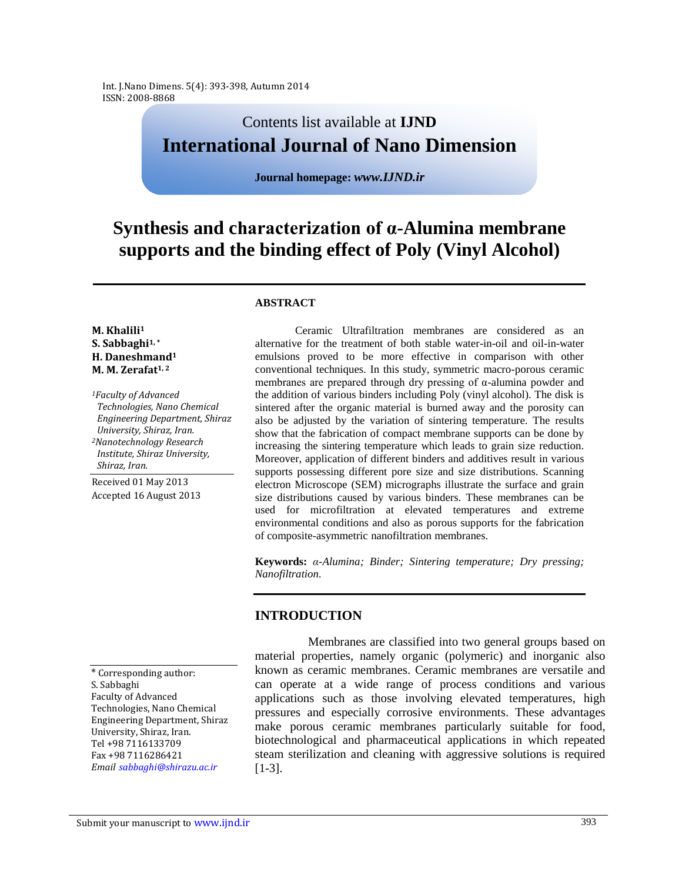Int. J.Nano Dimens. 5(4): 393-398, Autumn 2014 ISSN: 2008-8868

# Contents list available at **IJND International Journal of Nano Dimension**

**Journal homepage:** *www.IJND.ir*

# **Synthesis and characterization of α-Alumina membrane supports and the binding effect of Poly (Vinyl Alcohol)**

#### **ABSTRACT**

#### **M. Khalili<sup>1</sup> S. Sabbaghi1, \* H. Daneshmand<sup>1</sup> M. M. Zerafat1, <sup>2</sup>**

*<sup>1</sup>Faculty of Advanced Technologies, Nano Chemical Engineering Department, Shiraz University, Shiraz, Iran. <sup>2</sup>Nanotechnology Research Institute, Shiraz University, Shiraz, Iran.*

Received 01 May 2013 Accepted 16 August 2013

\* Corresponding author: S. Sabbaghi Faculty of Advanced Technologies, Nano Chemical Engineering Department, Shiraz University, Shiraz, Iran. Tel +98 7116133709 Fax +98 7116286421 *Email sabbaghi@shirazu.ac.ir*

Ceramic Ultrafiltration membranes are considered as an alternative for the treatment of both stable water-in-oil and oil-in-water emulsions proved to be more effective in comparison with other conventional techniques. In this study, symmetric macro-porous ceramic membranes are prepared through dry pressing of α-alumina powder and the addition of various binders including Poly (vinyl alcohol). The disk is sintered after the organic material is burned away and the porosity can also be adjusted by the variation of sintering temperature. The results show that the fabrication of compact membrane supports can be done by increasing the sintering temperature which leads to grain size reduction. Moreover, application of different binders and additives result in various supports possessing different pore size and size distributions. Scanning electron Microscope (SEM) micrographs illustrate the surface and grain size distributions caused by various binders. These membranes can be used for microfiltration at elevated temperatures and extreme environmental conditions and also as porous supports for the fabrication of composite-asymmetric nanofiltration membranes.

**Keywords:** *α-Alumina; Binder; Sintering temperature; Dry pressing; Nanofiltration.*

## **INTRODUCTION**

Membranes are classified into two general groups based on material properties, namely organic (polymeric) and inorganic also known as ceramic membranes. Ceramic membranes are versatile and can operate at a wide range of process conditions and various applications such as those involving elevated temperatures, high pressures and especially corrosive environments. These advantages make porous ceramic membranes particularly suitable for food, biotechnological and pharmaceutical applications in which repeated steam sterilization and cleaning with aggressive solutions is required [1-3].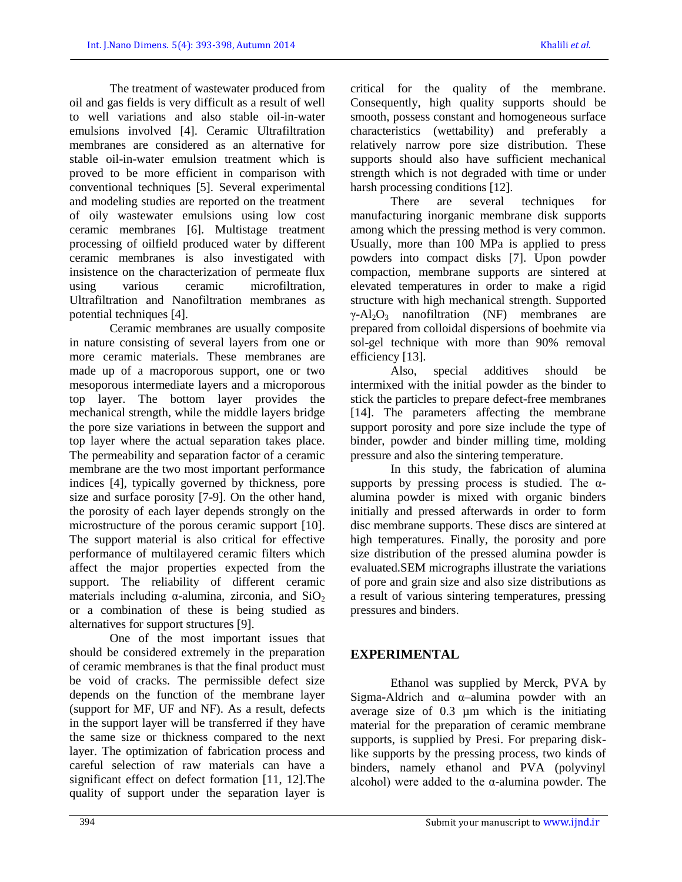The treatment of wastewater produced from oil and gas fields is very difficult as a result of well to well variations and also stable oil-in-water emulsions involved [4]. Ceramic Ultrafiltration membranes are considered as an alternative for stable oil-in-water emulsion treatment which is proved to be more efficient in comparison with conventional techniques [5]. Several experimental and modeling studies are reported on the treatment of oily wastewater emulsions using low cost ceramic membranes [6]. Multistage treatment processing of oilfield produced water by different ceramic membranes is also investigated with insistence on the characterization of permeate flux using various ceramic microfiltration, Ultrafiltration and Nanofiltration membranes as potential techniques [4].

Ceramic membranes are usually composite in nature consisting of several layers from one or more ceramic materials. These membranes are made up of a macroporous support, one or two mesoporous intermediate layers and a microporous top layer. The bottom layer provides the mechanical strength, while the middle layers bridge the pore size variations in between the support and top layer where the actual separation takes place. The permeability and separation factor of a ceramic membrane are the two most important performance indices [4], typically governed by thickness, pore size and surface porosity [7-9]. On the other hand, the porosity of each layer depends strongly on the microstructure of the porous ceramic support [10]. The support material is also critical for effective performance of multilayered ceramic filters which affect the major properties expected from the support. The reliability of different ceramic materials including  $\alpha$ -alumina, zirconia, and SiO<sub>2</sub> or a combination of these is being studied as alternatives for support structures [9].

One of the most important issues that should be considered extremely in the preparation of ceramic membranes is that the final product must be void of cracks. The permissible defect size depends on the function of the membrane layer (support for MF, UF and NF). As a result, defects in the support layer will be transferred if they have the same size or thickness compared to the next layer. The optimization of fabrication process and careful selection of raw materials can have a significant effect on defect formation [11, 12].The quality of support under the separation layer is

critical for the quality of the membrane. Consequently, high quality supports should be smooth, possess constant and homogeneous surface characteristics (wettability) and preferably a relatively narrow pore size distribution. These supports should also have sufficient mechanical strength which is not degraded with time or under harsh processing conditions [12].

There are several techniques for manufacturing inorganic membrane disk supports among which the pressing method is very common. Usually, more than 100 MPa is applied to press powders into compact disks [7]. Upon powder compaction, membrane supports are sintered at elevated temperatures in order to make a rigid structure with high mechanical strength. Supported  $\gamma$ -Al<sub>2</sub>O<sub>3</sub> nanofiltration (NF) membranes are prepared from colloidal dispersions of boehmite via sol-gel technique with more than 90% removal efficiency [13].

Also, special additives should be intermixed with the initial powder as the binder to stick the particles to prepare defect-free membranes [14]. The parameters affecting the membrane support porosity and pore size include the type of binder, powder and binder milling time, molding pressure and also the sintering temperature.

In this study, the fabrication of alumina supports by pressing process is studied. The  $\alpha$ alumina powder is mixed with organic binders initially and pressed afterwards in order to form disc membrane supports. These discs are sintered at high temperatures. Finally, the porosity and pore size distribution of the pressed alumina powder is evaluated.SEM micrographs illustrate the variations of pore and grain size and also size distributions as a result of various sintering temperatures, pressing pressures and binders.

# **EXPERIMENTAL**

Ethanol was supplied by Merck, PVA by Sigma-Aldrich and α–alumina powder with an average size of 0.3 µm which is the initiating material for the preparation of ceramic membrane supports, is supplied by Presi. For preparing disklike supports by the pressing process, two kinds of binders, namely ethanol and PVA (polyvinyl alcohol) were added to the  $\alpha$ -alumina powder. The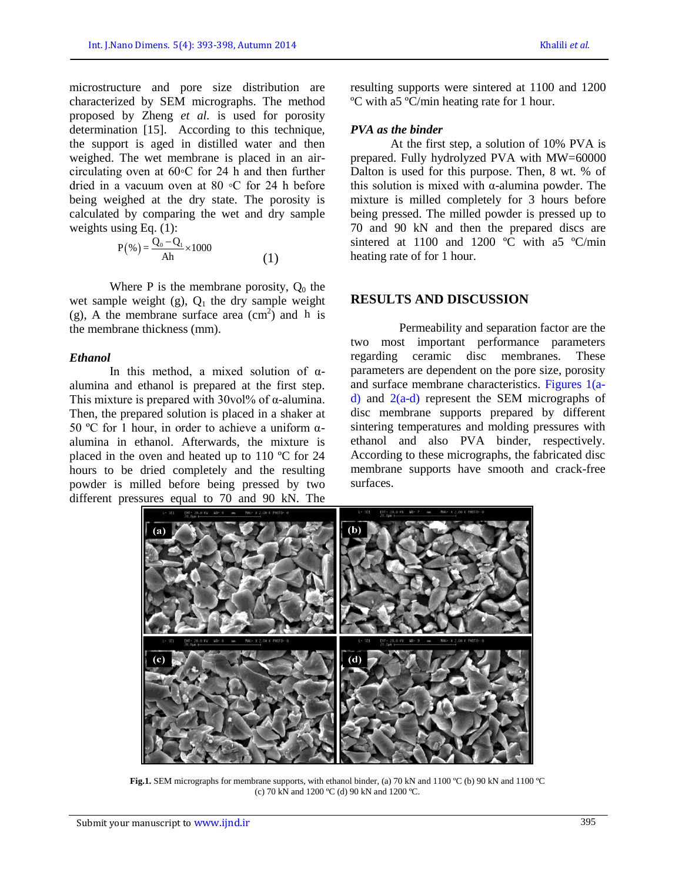microstructure and pore size distribution are characterized by SEM micrographs. The method proposed by Zheng *et al.* is used for porosity determination [15]. According to this technique, the support is aged in distilled water and then weighed. The wet membrane is placed in an aircirculating oven at 60◦C for 24 h and then further dried in a vacuum oven at 80 ◦C for 24 h before being weighed at the dry state. The porosity is calculated by comparing the wet and dry sample weights using Eq. (1):

$$
P(\%)=\frac{Q_0 - Q_1}{Ah} \times 1000
$$
 (1)

Where P is the membrane porosity,  $Q_0$  the wet sample weight  $(g)$ ,  $Q_1$  the dry sample weight (g), A the membrane surface area  $\text{cm}^2$ ) and h is the membrane thickness (mm).

#### *Ethanol*

In this method, a mixed solution of  $\alpha$ alumina and ethanol is prepared at the first step. This mixture is prepared with  $30\text{vol}$ % of  $\alpha$ -alumina. Then, the prepared solution is placed in a shaker at 50 °C for 1 hour, in order to achieve a uniform  $α$ alumina in ethanol. Afterwards, the mixture is placed in the oven and heated up to 110 ºC for 24 hours to be dried completely and the resulting powder is milled before being pressed by two different pressures equal to 70 and 90 kN. The

resulting supports were sintered at 1100 and 1200 ºC with a5 ºC/min heating rate for 1 hour.

#### *PVA as the binder*

At the first step, a solution of 10% PVA is prepared. Fully hydrolyzed PVA with MW=60000 Dalton is used for this purpose. Then, 8 wt. % of this solution is mixed with α-alumina powder. The mixture is milled completely for 3 hours before being pressed. The milled powder is pressed up to 70 and 90 kN and then the prepared discs are sintered at 1100 and 1200 °C with a5 °C/min heating rate of for 1 hour.

## **RESULTS AND DISCUSSION**

Permeability and separation factor are the two most important performance parameters regarding ceramic disc membranes. These parameters are dependent on the pore size, porosity and surface membrane characteristics. Figures 1(ad) and 2(a-d) represent the SEM micrographs of disc membrane supports prepared by different sintering temperatures and molding pressures with ethanol and also PVA binder, respectively. According to these micrographs, the fabricated disc membrane supports have smooth and crack-free surfaces.



**Fig.1.** SEM micrographs for membrane supports, with ethanol binder, (a) 70 kN and 1100 °C (b) 90 kN and 1100 °C (c) 70 kN and 1200 ºC (d) 90 kN and 1200 ºC.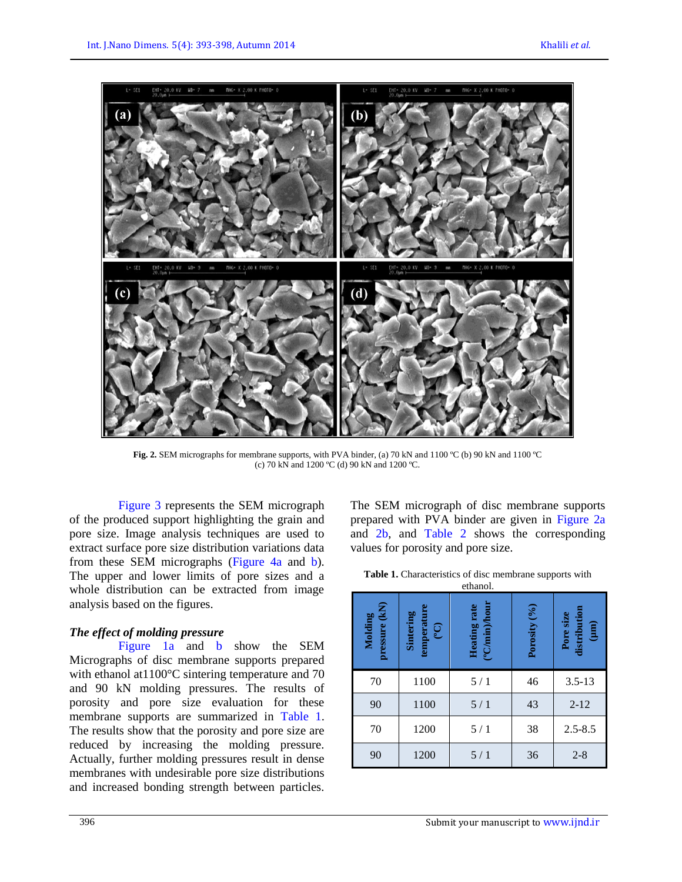

**Fig. 2.** SEM micrographs for membrane supports, with PVA binder, (a) 70 kN and 1100 ºC (b) 90 kN and 1100 ºC (c) 70 kN and 1200 ºC (d) 90 kN and 1200 ºC.

Figure 3 represents the SEM micrograph of the produced support highlighting the grain and pore size. Image analysis techniques are used to extract surface pore size distribution variations data from these SEM micrographs (Figure 4a and b). The upper and lower limits of pore sizes and a whole distribution can be extracted from image analysis based on the figures.

## *The effect of molding pressure*

Figure 1a and b show the SEM Micrographs of disc membrane supports prepared with ethanol at 1100°C sintering temperature and 70 and 90 kN molding pressures. The results of porosity and pore size evaluation for these membrane supports are summarized in Table 1. The results show that the porosity and pore size are reduced by increasing the molding pressure. Actually, further molding pressures result in dense membranes with undesirable pore size distributions and increased bonding strength between particles.

The SEM micrograph of disc membrane supports prepared with PVA binder are given in Figure 2a and 2b, and Table 2 shows the corresponding values for porosity and pore size.

| <b>Table 1.</b> Characteristics of disc membrane supports with |
|----------------------------------------------------------------|
| ethanol.                                                       |

| pressure (kN)<br>Molding | Sintering<br>emperatu<br>(90) | (°C/min)/hour<br>Heating rate | Porosity (%) | $\begin{array}{c} \text{distribution} \\ \text{(µm)} \end{array}$<br>Pore size |
|--------------------------|-------------------------------|-------------------------------|--------------|--------------------------------------------------------------------------------|
| 70                       | 1100                          | 5/1                           | 46           | $3.5 - 13$                                                                     |
| 90                       | 1100                          | 5/1                           | 43           | $2 - 12$                                                                       |
| 70                       | 1200                          | 5/1                           | 38           | $2.5 - 8.5$                                                                    |
| 90                       | 1200                          | 5/1                           | 36           | $2 - 8$                                                                        |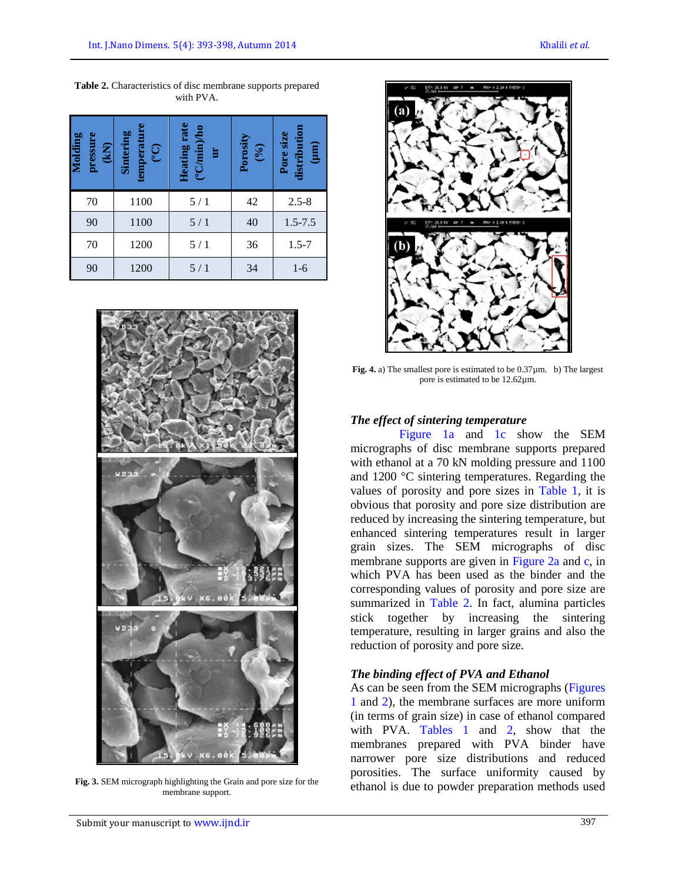| Molding<br>pressure<br>(KN) | Sintering<br>temperatu<br>$\widetilde{C}$ | Heating rate<br>(°C/min)/ho<br>È | Porosity<br>$\binom{96}{6}$ | distribution<br>Pore size<br>(mu) |
|-----------------------------|-------------------------------------------|----------------------------------|-----------------------------|-----------------------------------|
| 70                          | 1100                                      | 5/1                              | 42                          | $2.5 - 8$                         |
| 90                          | 1100                                      | 5/1                              | 40                          | $1.5 - 7.5$                       |
| 70                          | 1200                                      | 5/1                              | 36                          | $1.5 - 7$                         |
| 90                          | 1200                                      | 5/1                              | 34                          | $1-6$                             |

**Table 2.** Characteristics of disc membrane supports prepared with PVA.



**Fig. 3.** SEM micrograph highlighting the Grain and pore size for the membrane support.



**Fig. 4.** a) The smallest pore is estimated to be  $0.37 \mu$ m. b) The largest pore is estimated to be 12.62µm.

## *The effect of sintering temperature*

Figure 1a and 1c show the SEM micrographs of disc membrane supports prepared with ethanol at a 70 kN molding pressure and 1100 and 1200 °C sintering temperatures. Regarding the values of porosity and pore sizes in Table 1, it is obvious that porosity and pore size distribution are reduced by increasing the sintering temperature, but enhanced sintering temperatures result in larger grain sizes. The SEM micrographs of disc membrane supports are given in Figure 2a and c, in which PVA has been used as the binder and the corresponding values of porosity and pore size are summarized in Table 2. In fact, alumina particles stick together by increasing the sintering temperature, resulting in larger grains and also the reduction of porosity and pore size.

# *The binding effect of PVA and Ethanol*

As can be seen from the SEM micrographs (Figures 1 and 2), the membrane surfaces are more uniform (in terms of grain size) in case of ethanol compared with PVA. Tables 1 and 2, show that the membranes prepared with PVA binder have narrower pore size distributions and reduced porosities. The surface uniformity caused by ethanol is due to powder preparation methods used